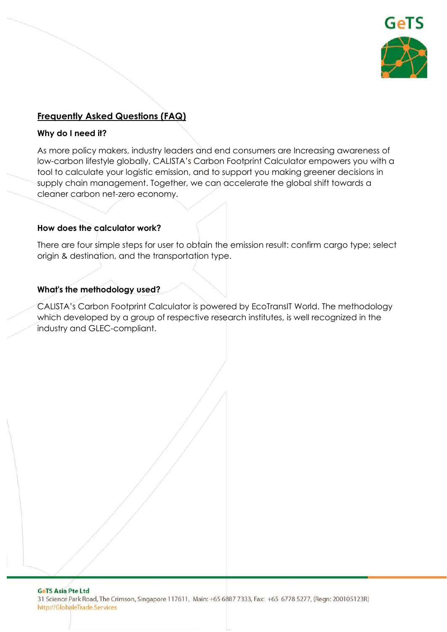

# **Frequently Asked Questions (FAQ)**

#### **Why do I need it?**

As more policy makers, industry leaders and end consumers are Increasing awareness of low-carbon lifestyle globally, CALISTA's Carbon Footprint Calculator empowers you with a tool to calculate your logistic emission, and to support you making greener decisions in supply chain management. Together, we can accelerate the global shift towards a cleaner carbon net-zero economy.

### **How does the calculator work?**

There are four simple steps for user to obtain the emission result: confirm cargo type; select origin & destination, and the transportation type.

### **What's the methodology used?**

CALISTA's Carbon Footprint Calculator is powered by EcoTransIT World. The methodology which developed by a group of respective research institutes, is well recognized in the industry and GLEC-compliant.